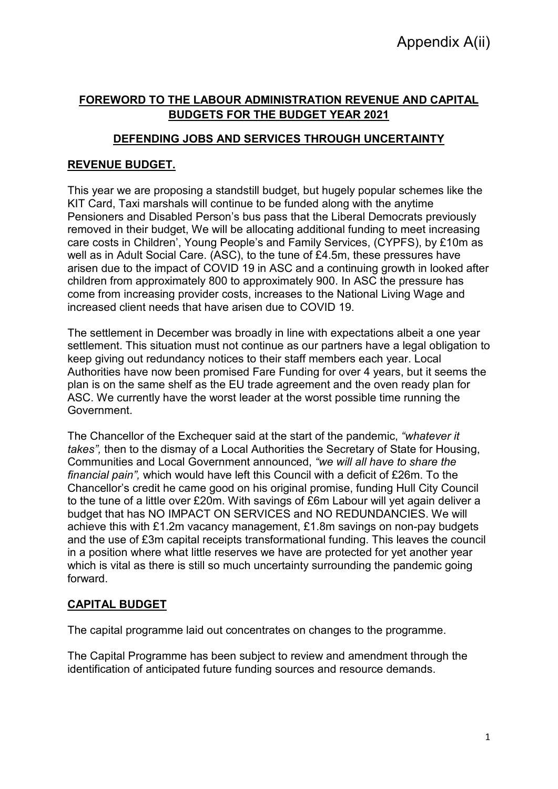# **FOREWORD TO THE LABOUR ADMINISTRATION REVENUE AND CAPITAL BUDGETS FOR THE BUDGET YEAR 2021**

# **DEFENDING JOBS AND SERVICES THROUGH UNCERTAINTY**

### **REVENUE BUDGET.**

This year we are proposing a standstill budget, but hugely popular schemes like the KIT Card, Taxi marshals will continue to be funded along with the anytime Pensioners and Disabled Person's bus pass that the Liberal Democrats previously removed in their budget, We will be allocating additional funding to meet increasing care costs in Children', Young People's and Family Services, (CYPFS), by £10m as well as in Adult Social Care. (ASC), to the tune of £4.5m, these pressures have arisen due to the impact of COVID 19 in ASC and a continuing growth in looked after children from approximately 800 to approximately 900. In ASC the pressure has come from increasing provider costs, increases to the National Living Wage and increased client needs that have arisen due to COVID 19.

The settlement in December was broadly in line with expectations albeit a one year settlement. This situation must not continue as our partners have a legal obligation to keep giving out redundancy notices to their staff members each year. Local Authorities have now been promised Fare Funding for over 4 years, but it seems the plan is on the same shelf as the EU trade agreement and the oven ready plan for ASC. We currently have the worst leader at the worst possible time running the Government.

The Chancellor of the Exchequer said at the start of the pandemic, *"whatever it takes",* then to the dismay of a Local Authorities the Secretary of State for Housing, Communities and Local Government announced, *"we will all have to share the financial pain",* which would have left this Council with a deficit of £26m. To the Chancellor's credit he came good on his original promise, funding Hull City Council to the tune of a little over £20m. With savings of £6m Labour will yet again deliver a budget that has NO IMPACT ON SERVICES and NO REDUNDANCIES. We will achieve this with £1.2m vacancy management, £1.8m savings on non-pay budgets and the use of £3m capital receipts transformational funding. This leaves the council in a position where what little reserves we have are protected for yet another year which is vital as there is still so much uncertainty surrounding the pandemic going forward.

#### **CAPITAL BUDGET**

The capital programme laid out concentrates on changes to the programme.

The Capital Programme has been subject to review and amendment through the identification of anticipated future funding sources and resource demands.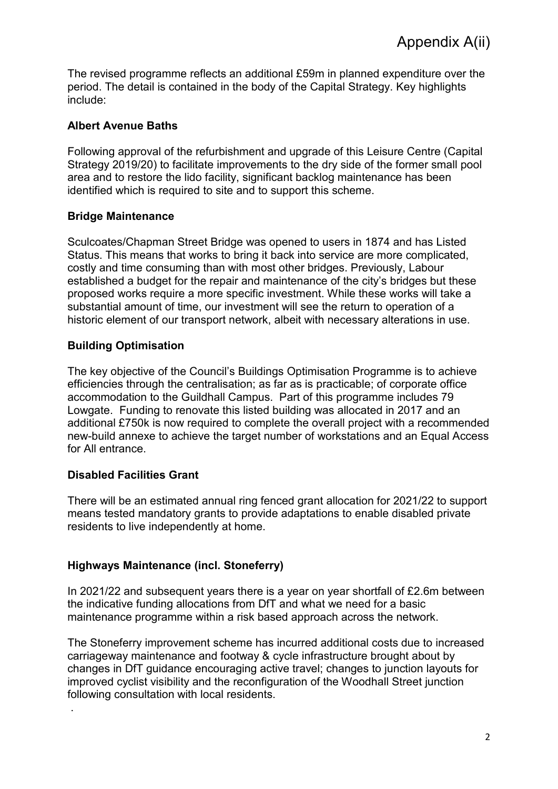The revised programme reflects an additional £59m in planned expenditure over the period. The detail is contained in the body of the Capital Strategy. Key highlights include:

## **Albert Avenue Baths**

Following approval of the refurbishment and upgrade of this Leisure Centre (Capital Strategy 2019/20) to facilitate improvements to the dry side of the former small pool area and to restore the lido facility, significant backlog maintenance has been identified which is required to site and to support this scheme.

## **Bridge Maintenance**

Sculcoates/Chapman Street Bridge was opened to users in 1874 and has Listed Status. This means that works to bring it back into service are more complicated, costly and time consuming than with most other bridges. Previously, Labour established a budget for the repair and maintenance of the city's bridges but these proposed works require a more specific investment. While these works will take a substantial amount of time, our investment will see the return to operation of a historic element of our transport network, albeit with necessary alterations in use.

# **Building Optimisation**

The key objective of the Council's Buildings Optimisation Programme is to achieve efficiencies through the centralisation; as far as is practicable; of corporate office accommodation to the Guildhall Campus. Part of this programme includes 79 Lowgate. Funding to renovate this listed building was allocated in 2017 and an additional £750k is now required to complete the overall project with a recommended new-build annexe to achieve the target number of workstations and an Equal Access for All entrance.

# **Disabled Facilities Grant**

.

There will be an estimated annual ring fenced grant allocation for 2021/22 to support means tested mandatory grants to provide adaptations to enable disabled private residents to live independently at home.

## **Highways Maintenance (incl. Stoneferry)**

In 2021/22 and subsequent years there is a year on year shortfall of £2.6m between the indicative funding allocations from DfT and what we need for a basic maintenance programme within a risk based approach across the network.

The Stoneferry improvement scheme has incurred additional costs due to increased carriageway maintenance and footway & cycle infrastructure brought about by changes in DfT guidance encouraging active travel; changes to junction layouts for improved cyclist visibility and the reconfiguration of the Woodhall Street junction following consultation with local residents.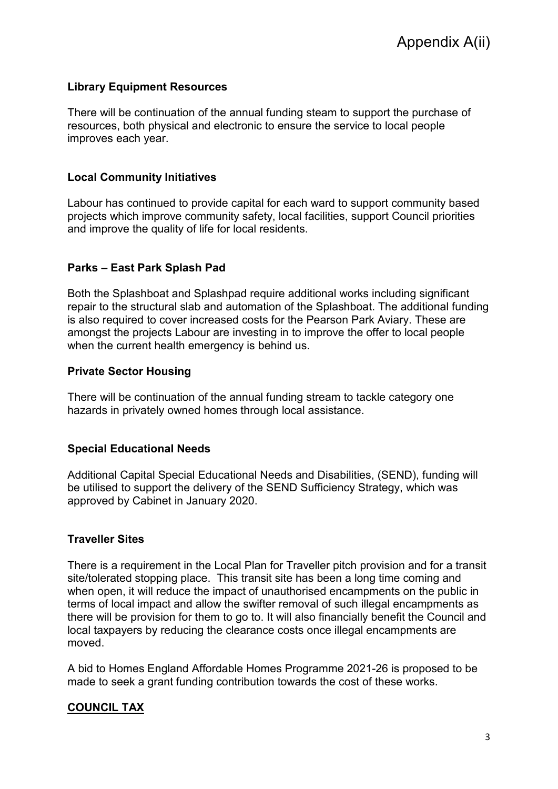### **Library Equipment Resources**

There will be continuation of the annual funding steam to support the purchase of resources, both physical and electronic to ensure the service to local people improves each year.

#### **Local Community Initiatives**

Labour has continued to provide capital for each ward to support community based projects which improve community safety, local facilities, support Council priorities and improve the quality of life for local residents.

## **Parks – East Park Splash Pad**

Both the Splashboat and Splashpad require additional works including significant repair to the structural slab and automation of the Splashboat. The additional funding is also required to cover increased costs for the Pearson Park Aviary. These are amongst the projects Labour are investing in to improve the offer to local people when the current health emergency is behind us.

### **Private Sector Housing**

There will be continuation of the annual funding stream to tackle category one hazards in privately owned homes through local assistance.

## **Special Educational Needs**

Additional Capital Special Educational Needs and Disabilities, (SEND), funding will be utilised to support the delivery of the SEND Sufficiency Strategy, which was approved by Cabinet in January 2020.

#### **Traveller Sites**

There is a requirement in the Local Plan for Traveller pitch provision and for a transit site/tolerated stopping place. This transit site has been a long time coming and when open, it will reduce the impact of unauthorised encampments on the public in terms of local impact and allow the swifter removal of such illegal encampments as there will be provision for them to go to. It will also financially benefit the Council and local taxpayers by reducing the clearance costs once illegal encampments are moved.

A bid to Homes England Affordable Homes Programme 2021-26 is proposed to be made to seek a grant funding contribution towards the cost of these works.

## **COUNCIL TAX**